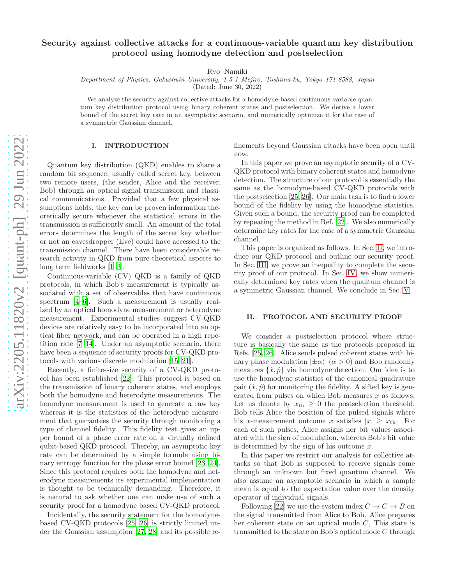# Security against collective attacks for a continuous-variable quantum key distribution protocol using homodyne detection and postselection

Ryo Namiki

Department of Physics, Gakushuin University, 1-5-1 Mejiro, Toshima-ku, Tokyo 171-8588, Japan

(Dated: June 30, 2022)

We analyze the security against collective attacks for a homodyne-based continuous-variable quantum key distribution protocol using binary coherent states and postselection. We derive a lower bound of the secret key rate in an asymptotic scenario, and numerically optimize it for the case of a symmetric Gaussian channel.

# I. INTRODUCTION

Quantum key distribution (QKD) enables to share a random bit sequence, usually called secret key, between two remote users, (the sender, Alice and the receiver, Bob) through an optical signal transmission and classical communications. Provided that a few physical assumptions holds, the key can be proven information theoretically secure whenever the statistical errors in the transmission is sufficiently small. An amount of the total errors determines the length of the secret key whether or not an eavesdropper (Eve) could have accessed to the transmission channel. There have been considerable research activity in QKD from pure theoretical aspects to long term fieldworks [\[1](#page-5-0)[–3\]](#page-5-1).

Continuous-variable (CV) QKD is a family of QKD protocols, in which Bob's measurement is typically associated with a set of observables that have continuous spectrum [\[4](#page-5-2)[–6](#page-5-3)]. Such a measurement is usually realized by an optical homodyne measurement or heterodyne measurement. Experimental studies suggest CV-QKD devices are relatively easy to be incorporated into an optical fiber network, and can be operated in a high repetition rate [\[7](#page-5-4)[–14\]](#page-5-5). Under an asymptotic scenario, there have been a sequence of security proofs for  $CV-QKD$  protocols with various discrete modulation [\[15](#page-5-6)[–21\]](#page-6-0).

Recently, a finite-size security of a CV-QKD protocol has been established [\[22](#page-6-1)]. This protocol is based on the transmission of binary coherent states, and employs both the homodyne and heterodyne measurements. The homodyne measurement is used to generate a raw key whereas it is the statistics of the heterodyne measurement that guarantees the security through monitoring a type of channel fidelity. This fidelity test gives an upper bound of a phase error rate on a virtually defined qubit-based QKD protocol. Thereby, an asymptotic key rate can be determined by a simple formula using binary entropy function for the phase error bound [\[23,](#page-6-2) [24\]](#page-6-3). Since this protocol requires both the homodyne and heterodyne measurements its experimental implementation is thought to be technically demanding. Therefore, it is natural to ask whether one can make use of such a security proof for a homodyne based CV-QKD protocol.

Incidentally, the security statement for the homodynebased CV-QKD protocols [\[25,](#page-6-4) [26](#page-6-5)] is strictly limited under the Gaussian assumption [\[27,](#page-6-6) [28\]](#page-6-7) and its possible refinements beyond Gaussian attacks have been open until now.

In this paper we prove an asymptotic security of a CV-QKD protocol with binary coherent states and homodyne detection. The structure of our protocol is essentially the same as the homodyne-based CV-QKD protocols with the postselection [\[25](#page-6-4), [26](#page-6-5)]. Our main task is to find a lower bound of the fidelity by using the homodyne statistics. Given such a bound, the security proof can be completed by repeating the method in Ref. [\[22](#page-6-1)]. We also numerically determine key rates for the case of a symmetric Gaussian channel.

This paper is organized as follows. In Sec. [II,](#page-0-0) we introduce our QKD protocol and outline our security proof. In Sec. [III,](#page-2-0) we prove an inequality to complete the security proof of our protocol. In Sec. [IV,](#page-3-0) we show numerically determined key rates when the quantum channel is a symmetric Gaussian channel. We conclude in Sec. [V.](#page-4-0)

# <span id="page-0-0"></span>II. PROTOCOL AND SECURITY PROOF

We consider a postselection protocol whose structure is basically the same as the protocols proposed in Refs. [\[25](#page-6-4), [26\]](#page-6-5). Alice sends pulsed coherent states with binary phase modulation  $|\pm \alpha\rangle$  ( $\alpha > 0$ ) and Bob randomly measures  $\{\hat{x}, \hat{p}\}\$  via homodyne detection. Our idea is to use the homodyne statistics of the canonical quadrature pair  $(\hat{x}, \hat{p})$  for monitoring the fidelity. A sifted key is generated from pulses on which Bob measures  $x$  as follows: Let us denote by  $x_{\text{th}} \geq 0$  the postselection threshold. Bob tells Alice the position of the pulsed signals where his x-measurement outcome x satisfies  $|x| \geq x_{\text{th}}$ . For each of such pulses, Alice assigns her bit values associated with the sign of modulation, whereas Bob's bit value is determined by the sign of his outcome  $x$ .

In this paper we restrict our analysis for collective attacks so that Bob is supposed to receive signals come through an unknown but fixed quantum channel. We also assume an asymptotic scenario in which a sample mean is equal to the expectation value over the density operator of individual signals.

Following [\[22\]](#page-6-1) we use the system index  $\tilde{C} \to C \to B$  on the signal transmitted from Alice to Bob. Alice prepares her coherent state on an optical mode  $C$ , This state is transmitted to the state on Bob's optical mode C through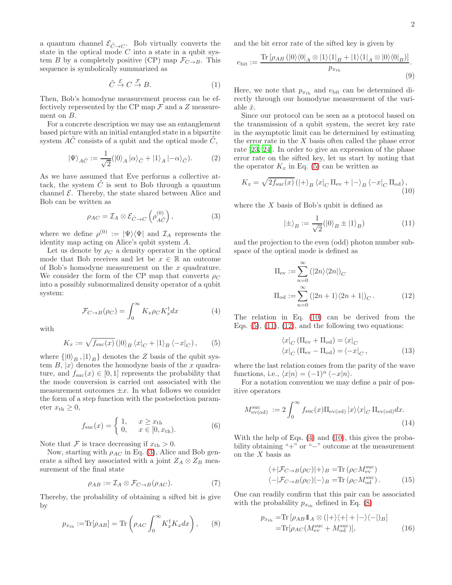a quantum channel  $\mathcal{E}_{\tilde{C}\to C}$ . Bob virtually converts the state in the optical mode  $C$  into a state in a qubit system B by a completely positive (CP) map  $\mathcal{F}_{C\rightarrow B}$ . This sequence is symbolically summarized as

$$
\tilde{C} \xrightarrow{\mathcal{E}} C \xrightarrow{\mathcal{F}} B. \tag{1}
$$

Then, Bob's homodyne measurement process can be effectively represented by the CP map  $\mathcal F$  and a Z measurement on B.

For a concrete description we may use an entanglement based picture with an initial entangled state in a bipartite system  $AC$  consists of a qubit and the optical mode  $C$ ,

$$
|\Psi\rangle_{A\tilde{C}}:=\frac{1}{\sqrt{2}}(|0\rangle_A\ket{\alpha}_{\tilde{C}}+|1\rangle_A\ket{-\alpha}_{\tilde{C}}). \hspace{1cm} (2)
$$

As we have assumed that Eve performs a collective attack, the system  $C$  is sent to Bob through a quantum channel  $\mathcal E$ . Thereby, the state shared between Alice and Bob can be written as

$$
\rho_{AC} = \mathcal{I}_A \otimes \mathcal{E}_{\tilde{C} \to C} \left( \rho_{A\tilde{C}}^{(0)} \right), \tag{3}
$$

where we define  $\rho^{(0)} := |\Psi\rangle\langle\Psi|$  and  $\mathcal{I}_A$  represents the identity map acting on Alice's qubit system A.

Let us denote by  $\rho_C$  a density operator in the optical mode that Bob receives and let be  $x \in \mathbb{R}$  an outcome of Bob's homodyne measurement on the  $x$  quadrature. We consider the form of the CP map that converts  $\rho_C$ into a possibly subnormalized density operator of a qubit system:

$$
\mathcal{F}_{C \to B}(\rho_C) = \int_0^\infty K_x \rho_C K_x^\dagger dx \tag{4}
$$

with

$$
K_x := \sqrt{f_{\rm suc}(x)} \left( |0\rangle_B \left\langle x|_C + |1\rangle_B \left\langle -x|_C \right\rangle, \right. (5)
$$

where  $\{ |0\rangle_B , |1\rangle_B \}$  denotes the Z basis of the qubit system  $B, |x\rangle$  denotes the homodyne basis of the x quadrature, and  $f_{\text{suc}}(x) \in [0,1]$  represents the probability that the mode conversion is carried out associated with the measurement outcomes  $\pm x$ . In what follows we consider the form of a step function with the postselection parameter  $x_{\text{th}} \geq 0$ ,

$$
f_{\rm suc}(x) = \begin{cases} 1, & x \ge x_{\rm th} \\ 0, & x \in [0, x_{\rm th}). \end{cases}
$$
 (6)

Note that F is trace decreasing if  $x_{\text{th}} > 0$ .

Now, starting with  $\rho_{AC}$  in Eq. [\(3\)](#page-1-0), Alice and Bob generate a sifted key associated with a joint  $Z_A \otimes Z_B$  measurement of the final state

$$
\rho_{AB} := \mathcal{I}_A \otimes \mathcal{F}_{C \to B}(\rho_{AC}). \tag{7}
$$

Thereby, the probability of obtaining a sifted bit is give by

$$
p_{x_{\text{th}}} := \text{Tr}[\rho_{AB}] = \text{Tr}\left(\rho_{AC} \int_0^\infty K_x^\dagger K_x dx\right),\qquad(8)
$$

and the bit error rate of the sifted key is given by

<span id="page-1-7"></span>
$$
e_{\text{bit}} := \frac{\text{Tr}\left[\rho_{AB}\left(|0\rangle\langle0|_{A}\otimes|1\rangle\langle1|_{B}+|1\rangle\langle1|_{A}\otimes|0\rangle\langle0|_{B}\right)\right]}{p_{x_{\text{th}}}}.\tag{9}
$$

Here, we note that  $p_{x_{\text{th}}}$  and  $e_{\text{bit}}$  can be determined directly through our homodyne measurement of the variable  $\hat{x}$ .

Since our protocol can be seen as a protocol based on the transmission of a qubit system, the secret key rate in the asymptotic limit can be determined by estimating the error rate in the  $X$  basis often called the phase error rate [\[23](#page-6-2), [24](#page-6-3)]. In order to give an expression of the phase error rate on the sifted key, let us start by noting that the operator  $K_x$  in Eq. [\(5\)](#page-1-1) can be written as

<span id="page-1-10"></span>
$$
K_x = \sqrt{2f_{\rm suc}(x)} \left( |+\rangle_B \left\langle x|_C \Pi_{\rm ev} + |-\rangle_B \left\langle -x|_C \Pi_{\rm od} \right\rangle, \right. \right) \tag{10}
$$

<span id="page-1-0"></span>where the  $X$  basis of Bob's qubit is defined as

<span id="page-1-3"></span><span id="page-1-2"></span>
$$
|\pm\rangle_B := \frac{1}{\sqrt{2}} (|0\rangle_B \pm |1\rangle_B)
$$
 (11)

and the projection to the even (odd) photon number subspace of the optical mode is defined as

$$
\Pi_{\text{ev}} := \sum_{n=0}^{\infty} (|2n\rangle \langle 2n|)_{C}
$$
  
\n
$$
\Pi_{\text{od}} := \sum_{n=0}^{\infty} (|2n+1\rangle \langle 2n+1|)_{C}.
$$
 (12)

<span id="page-1-5"></span><span id="page-1-1"></span>The relation in Eq. [\(10\)](#page-1-2) can be derived from the Eqs.  $(5)$ ,  $(11)$ ,  $(12)$ , and the following two equations:

<span id="page-1-4"></span>
$$
\langle x|_{C} (\Pi_{\text{ev}} + \Pi_{\text{od}}) = \langle x|_{C}
$$
  

$$
\langle x|_{C} (\Pi_{\text{ev}} - \Pi_{\text{od}}) = \langle -x|_{C},
$$
 (13)

where the last relation comes from the parity of the wave functions, i.e.,  $\langle x|n \rangle = (-1)^n \langle -x|n \rangle$ .

For a notation convention we may define a pair of positive operators

$$
M_{\text{ev}(\text{od})}^{\text{suc}} := 2 \int_0^\infty f_{\text{suc}}(x) \Pi_{\text{ev}(\text{od})} |x\rangle \langle x|_C \Pi_{\text{ev}(\text{od})} dx. \tag{14}
$$

With the help of Eqs. [\(4\)](#page-1-5) and [\(10\)](#page-1-2), this gives the probability obtaining "+" or "−" outcome at the measurement on the  $X$  basis as

<span id="page-1-11"></span><span id="page-1-8"></span>
$$
\langle +|\mathcal{F}_{C\to B}(\rho_C)|+\rangle_B = \text{Tr}(\rho_C M_{\text{ev}}^{\text{suc}})
$$
  

$$
\langle -|\mathcal{F}_{C\to B}(\rho_C)|-\rangle_B = \text{Tr}(\rho_C M_{\text{od}}^{\text{suc}}).
$$
 (15)

<span id="page-1-6"></span>One can readily confirm that this pair can be associated with the probability  $p_{x_{\text{th}}}$  defined in Eq. [\(8\)](#page-1-6)

<span id="page-1-9"></span>
$$
p_{x_{\text{th}}} = \text{Tr} \left[ \rho_{AB} \mathbb{1}_A \otimes (|\!+\rangle\langle+|\!+\!|-\rangle\langle-|\rangle_B \right]
$$
  
=\text{Tr} \left[ \rho\_{AC} (M\_{\text{ev}}^{\text{suc}} + M\_{\text{od}}^{\text{suc}}) \right], \tag{16}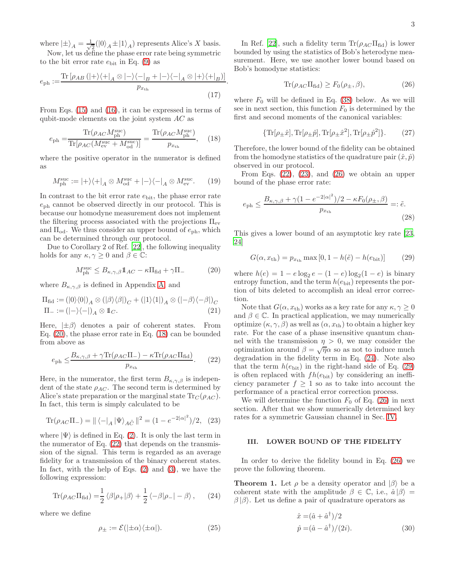where  $\ket{\pm}_{A} = \frac{1}{\sqrt{2}}$  $\frac{1}{2}(|0\rangle_A \pm |1\rangle_A)$  represents Alice's X basis. Now, let us define the phase error rate being symmetric

to the bit error rate  $e_{\text{bit}}$  in Eq. [\(9\)](#page-1-7) as

$$
e_{\rm ph} := \frac{\text{Tr}\left[\rho_{AB}\left(|+\rangle\langle+|_{A}\otimes|-\rangle\langle-|_{B}+|-\rangle\langle-|_{A}\otimes|+\rangle\langle+|_{B}\right)\right]}{p_{x_{\rm th}}}.
$$
\n(17)

From Eqs. [\(15\)](#page-1-8) and [\(16\)](#page-1-9), it can be expressed in terms of qubit-mode elements on the joint system AC as

$$
e_{\rm ph} = \frac{\text{Tr}(\rho_{AC} M_{\rm ph}^{\rm suc})}{\text{Tr}[\rho_{AC}(M_{\rm ev}^{\rm suc} + M_{\rm od}^{\rm suc})]} = \frac{\text{Tr}(\rho_{AC} M_{\rm ph}^{\rm suc})}{p_{x_{\rm th}}},\quad(18)
$$

where the positive operator in the numerator is defined as

$$
M_{\rm ph}^{\rm suc} := |+\rangle\langle+|_A \otimes M_{\rm od}^{\rm suc} + |-\rangle\langle-|_A \otimes M_{\rm ev}^{\rm suc}.\tag{19}
$$

In contrast to the bit error rate  $e_{\text{bit}}$ , the phase error rate  $e<sub>ph</sub>$  cannot be observed directly in our protocol. This is because our homodyne measurement does not implement the filtering process associated with the projections  $\Pi_{ev}$ and  $\Pi_{od}$ . We thus consider an upper bound of  $e_{ph}$ , which can be determined through our protocol.

Due to Corollary 2 of Ref. [\[22](#page-6-1)], the following inequality holds for any  $\kappa, \gamma \geq 0$  and  $\beta \in \mathbb{C}$ :

$$
M_{\rm ph}^{\rm suc} \leq B_{\kappa,\gamma,\beta} \mathbb{1}_{AC} - \kappa \Pi_{\rm fid} + \gamma \Pi_{-}
$$
 (20)

where  $B_{\kappa,\gamma,\beta}$  is defined in Appendix [A,](#page-4-1) and

$$
\Pi_{\text{fid}} := (|0\rangle\langle 0|)_A \otimes (|\beta\rangle\langle \beta|)_C + (|1\rangle\langle 1|)_A \otimes (|-\beta\rangle\langle -\beta|)_C \n\Pi_- := (|-\rangle\langle -|)_A \otimes \mathbb{1}_C.
$$
\n(21)

Here,  $|\pm \beta\rangle$  denotes a pair of coherent states. From Eq. [\(20\)](#page-2-1), the phase error rate in Eq. [\(18\)](#page-2-2) can be bounded from above as

$$
e_{\rm ph} \leq \frac{B_{\kappa,\gamma,\beta} + \gamma \text{Tr}(\rho_{AC}\Pi_{-}) - \kappa \text{Tr}(\rho_{AC}\Pi_{\text{fid}})}{p_{x_{\rm th}}}.
$$
 (22)

Here, in the numerator, the first term  $B_{\kappa,\gamma,\beta}$  is independent of the state  $\rho_{AC}$ . The second term is determined by Alice's state preparation or the marginal state  $Tr_C(\rho_{AC})$ . In fact, this term is simply calculated to be

Tr(
$$
\rho_{AC}\Pi_{-}
$$
) =  $|| \langle - |_{A} | \Psi \rangle_{A\tilde{C}} ||^{2} = (1 - e^{-2|\alpha|^{2}})/2$ , (23)

where  $|\Psi\rangle$  is defined in Eq. [\(2\)](#page-1-10). It is only the last term in the numerator of Eq.  $(22)$  that depends on the transmission of the signal. This term is regarded as an average fidelity for a transmission of the binary coherent states. In fact, with the help of Eqs.  $(2)$  and  $(3)$ , we have the following expression:

$$
\text{Tr}(\rho_{AC}\Pi_{\text{fid}}) = \frac{1}{2} \langle \beta|\rho_+|\beta\rangle + \frac{1}{2} \langle -\beta|\rho_-| - \beta \rangle, \qquad (24)
$$

where we define

$$
\rho_{\pm} := \mathcal{E}(|\pm\alpha\rangle\langle\pm\alpha|). \tag{25}
$$

In Ref. [\[22\]](#page-6-1), such a fidelity term  $\text{Tr}(\rho_{AC} \Pi_{\text{fid}})$  is lower bounded by using the statistics of Bob's heterodyne measurement. Here, we use another lower bound based on Bob's homodyne statistics:

<span id="page-2-9"></span><span id="page-2-5"></span>
$$
\text{Tr}(\rho_{AC}\Pi_{\text{fid}}) \ge F_0(\rho_{\pm}, \beta),\tag{26}
$$

where  $F_0$  will be defined in Eq. [\(38\)](#page-3-1) below. As we will see in next section, this function  $F_0$  is determined by the first and second moments of the canonical variables:

$$
\{\operatorname{Tr}[\rho_{\pm}\hat{x}], \operatorname{Tr}[\rho_{\pm}\hat{p}], \operatorname{Tr}[\rho_{\pm}\hat{x}^2], \operatorname{Tr}[\rho_{\pm}\hat{p}^2]\}.
$$
 (27)

<span id="page-2-2"></span>Therefore, the lower bound of the fidelity can be obtained from the homodyne statistics of the quadrature pair  $(\hat{x}, \hat{p})$ observed in our protocol.

From Eqs.  $(22)$ ,  $(23)$ , and  $(26)$  we obtain an upper bound of the phase error rate:

$$
e_{\rm ph} \le \frac{B_{\kappa,\gamma,\beta} + \gamma (1 - e^{-2|\alpha|^2})/2 - \kappa F_0(\rho_\pm, \beta)}{p_{x_{\rm th}}} =: \tilde{e}.\tag{28}
$$

This gives a lower bound of an asymptotic key rate [\[23](#page-6-2), [24\]](#page-6-3)

<span id="page-2-11"></span><span id="page-2-7"></span>
$$
G(\alpha, x_{\text{th}}) = p_{x_{\text{th}}} \max [0, 1 - h(\tilde{e}) - h(e_{\text{bit}})]
$$
 (29)

<span id="page-2-1"></span>where  $h(e) = 1 - e \log_2 e - (1 - e) \log_2 (1 - e)$  is binary entropy function, and the term  $h(e_{\text{bit}})$  represents the portion of bits deleted to accomplish an ideal error correction.

Note that  $G(\alpha, x_{\text{th}})$  works as a key rate for any  $\kappa, \gamma \geq 0$ and  $\beta \in \mathbb{C}$ . In practical application, we may numerically optimize  $(\kappa, \gamma, \beta)$  as well as  $(\alpha, x_{\text{th}})$  to obtain a higher key rate. For the case of a phase insensitive quantum channel with the transmission  $\eta > 0$ , we may consider the optimization around  $\beta = \sqrt{\eta} \alpha$  so as not to induce much degradation in the fidelity term in Eq. [\(24\)](#page-2-6). Note also that the term  $h(e_{\text{bit}})$  in the right-hand side of Eq. [\(29\)](#page-2-7) is often replaced with  $fh(e_{bit})$  by considering an inefficiency parameter  $f \geq 1$  so as to take into account the performance of a practical error correction process.

<span id="page-2-4"></span><span id="page-2-3"></span>We will determine the function  $F_0$  of Eq. [\(26\)](#page-2-5) in next section. After that we show numerically determined key rates for a symmetric Gaussian channel in Sec. [IV.](#page-3-0)

### <span id="page-2-0"></span>III. LOWER BOUND OF THE FIDELITY

In order to derive the fidelity bound in Eq. [\(26\)](#page-2-5) we prove the following theorem.

<span id="page-2-10"></span><span id="page-2-6"></span>**Theorem 1.** Let  $\rho$  be a density operator and  $|\beta\rangle$  be a coherent state with the amplitude  $\beta \in \mathbb{C}$ , i.e.,  $\hat{a} | \beta \rangle =$  $\beta$ | $\beta$ ). Let us define a pair of quadrature operators as

<span id="page-2-8"></span>
$$
\begin{aligned}\n\hat{x} &= (\hat{a} + \hat{a}^{\dagger})/2 \\
\hat{p} &= (\hat{a} - \hat{a}^{\dagger})/(2i).\n\end{aligned} \tag{30}
$$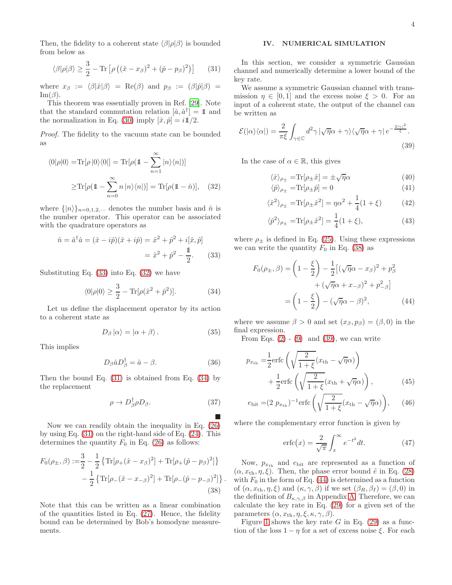Then, the fidelity to a coherent state  $\langle \beta | \rho | \beta \rangle$  is bounded from below as

$$
\langle \beta | \rho | \beta \rangle \ge \frac{3}{2} - \text{Tr} \left[ \rho \left( (\hat{x} - x_{\beta})^2 + (\hat{p} - p_{\beta})^2 \right) \right] \tag{31}
$$

where  $x_{\beta} := \langle \beta | \hat{x} | \beta \rangle = \text{Re}(\beta)$  and  $p_{\beta} := (\beta | \hat{p} | \beta) =$  $\text{Im}(\beta)$ .

This theorem was essentially proven in Ref. [\[29\]](#page-6-8). Note that the standard commutation relation  $[\hat{a}, \hat{a}^{\dagger}] = 1 \text{ and}$ the normalization in Eq. [\(30\)](#page-2-8) imply  $[\hat{x}, \hat{p}] = i\frac{1}{2}$ .

Proof. The fidelity to the vacuum state can be bounded as

$$
\langle 0|\rho|0\rangle = \text{Tr}[\rho|0\rangle\langle 0|] = \text{Tr}[\rho(\mathbb{1} - \sum_{n=1}^{\infty} |n\rangle\langle n|)]
$$

$$
\geq \text{Tr}[\rho(\mathbb{1} - \sum_{n=0}^{\infty} n|n\rangle\langle n|)] = \text{Tr}[\rho(\mathbb{1} - \hat{n})], \quad (32)
$$

where  $\{|n\rangle\}_{n=0,1,2,\cdots}$  denotes the number basis and  $\hat{n}$  is the number operator. This operator can be associated with the quadrature operators as

$$
\hat{n} = \hat{a}^{\dagger}\hat{a} = (\hat{x} - i\hat{p})(\hat{x} + i\hat{p}) = \hat{x}^2 + \hat{p}^2 + i[\hat{x}, \hat{p}]
$$

$$
= \hat{x}^2 + \hat{p}^2 - \frac{1}{2}.
$$
 (33)

Substituting Eq. [\(33\)](#page-3-2) into Eq. [\(32\)](#page-3-3) we have

$$
\langle 0|\rho|0\rangle \ge \frac{3}{2} - \text{Tr}[\rho(\hat{x}^2 + \hat{p}^2)].
$$
 (34)

Let us define the displacement operator by its action to a coherent state as

$$
D_{\beta} |\alpha\rangle = |\alpha + \beta\rangle. \tag{35}
$$

This implies

$$
D_{\beta}\hat{a}D_{\beta}^{\dagger} = \hat{a} - \beta. \tag{36}
$$

Then the bound Eq. [\(31\)](#page-3-4) is obtained from Eq. [\(34\)](#page-3-5) by the replacement

$$
\rho \to D_{\beta}^{\dagger} \rho D_{\beta}.
$$
 (37)

 $\blacksquare$ 

<span id="page-3-1"></span>.

Now we can readily obtain the inequality in Eq. [\(26\)](#page-2-5) by using Eq. [\(31\)](#page-3-4) on the right-hand side of Eq. [\(24\)](#page-2-6). This determines the quantity  $F_0$  in Eq. [\(26\)](#page-2-5) as follows:

$$
F_0(\rho_{\pm}, \beta) := \frac{3}{2} - \frac{1}{2} \left\{ \text{Tr}[\rho_+(\hat{x} - x_\beta)^2] + \text{Tr}[\rho_+(\hat{p} - p_\beta)^2] \right\} - \frac{1}{2} \left\{ \text{Tr}[\rho_-(\hat{x} - x_{-\beta})^2] + \text{Tr}[\rho_-(\hat{p} - p_{-\beta})^2] \right\}
$$
(38)

Note that this can be written as a linear combination of the quantities listed in Eq. [\(27\)](#page-2-9). Hence, the fidelity bound can be determined by Bob's homodyne measurements.

# <span id="page-3-0"></span>IV. NUMERICAL SIMULATION

<span id="page-3-4"></span>In this section, we consider a symmetric Gaussian channel and numerically determine a lower bound of the key rate.

We assume a symmetric Gaussian channel with transmission  $\eta \in [0,1]$  and the excess noise  $\xi > 0$ . For an input of a coherent state, the output of the channel can be written as

$$
\mathcal{E}(|\alpha\rangle\langle\alpha|) = \frac{2}{\pi\xi} \int_{\gamma \in \mathbb{C}} d^2 \gamma \left| \sqrt{\eta} \alpha + \gamma \right\rangle \langle \sqrt{\eta} \alpha + \gamma \left| e^{-\frac{2|\gamma|^2}{\xi}} \right|.
$$
\n(39)

<span id="page-3-3"></span>In the case of  $\alpha \in \mathbb{R}$ , this gives

<span id="page-3-6"></span>
$$
\langle \hat{x} \rangle_{\rho_{\pm}} = \text{Tr}[\rho_{\pm} \hat{x}] = \pm \sqrt{\eta} \alpha \tag{40}
$$

$$
\langle \hat{p} \rangle_{\rho_{\pm}} = \text{Tr}[\rho_{\pm} \hat{p}] = 0 \tag{41}
$$

$$
\langle \hat{x}^2 \rangle_{\rho_{\pm}} = \text{Tr}[\rho_{\pm} \hat{x}^2] = \eta \alpha^2 + \frac{1}{4} (1 + \xi)
$$
 (42)

$$
\langle \hat{p}^2 \rangle_{\rho_{\pm}} = \text{Tr}[\rho_{\pm} \hat{x}^2] = \frac{1}{4} (1 + \xi),
$$
 (43)

<span id="page-3-2"></span>where  $\rho_{\pm}$  is defined in Eq. [\(25\)](#page-2-10). Using these expressions we can write the quantity  $F_0$  in Eq. [\(38\)](#page-3-1) as

<span id="page-3-7"></span>
$$
F_0(\rho_\pm, \beta) = \left(1 - \frac{\xi}{2}\right) - \frac{1}{2} \left[ (\sqrt{\eta}\alpha - x_\beta)^2 + p_\beta^2 + (\sqrt{\eta}\alpha + x_{-\beta})^2 + p_{-\beta}^2 \right]
$$

$$
= \left(1 - \frac{\xi}{2}\right) - (\sqrt{\eta}\alpha - \beta)^2, \tag{44}
$$

<span id="page-3-5"></span>where we assume  $\beta > 0$  and set  $(x_{\beta}, p_{\beta}) = (\beta, 0)$  in the final expression.

From Eqs.  $(2)$  -  $(9)$  and  $(39)$ , we can write

$$
p_{x_{\text{th}}} = \frac{1}{2} \text{erfc}\left(\sqrt{\frac{2}{1+\xi}}(x_{\text{th}} - \sqrt{\eta}\alpha)\right) + \frac{1}{2} \text{erfc}\left(\sqrt{\frac{2}{1+\xi}}(x_{\text{th}} + \sqrt{\eta}\alpha)\right),\tag{45}
$$

$$
e_{\text{bit}} = (2 p_{x_{\text{th}}})^{-1} \text{erfc}\left(\sqrt{\frac{2}{1+\xi}}(x_{\text{th}} - \sqrt{\eta}\alpha)\right),
$$
 (46)

where the complementary error function is given by

<span id="page-3-8"></span>
$$
\operatorname{erfc}(x) = \frac{2}{\sqrt{\pi}} \int_x^{\infty} e^{-t^2} dt. \tag{47}
$$

Now,  $p_{x_{\text{th}}}$  and  $e_{\text{bit}}$  are represented as a function of  $(\alpha, x_{\text{th}}, \eta, \xi)$ . Then, the phase error bound  $\tilde{e}$  in Eq. [\(28\)](#page-2-11) with  $F_0$  in the form of Eq. [\(44\)](#page-3-7) is determined as a function of  $(\alpha, x_{\text{th}}, \eta, \xi)$  and  $(\kappa, \gamma, \beta)$  if we set  $(\beta_R, \beta_I) = (\beta, 0)$  in the definition of  $B_{\kappa,\gamma,\beta}$  in Appendix [A.](#page-4-1) Therefore, we can calculate the key rate in Eq. [\(29\)](#page-2-7) for a given set of the parameters  $(\alpha, x_{\text{th}}, \eta, \xi, \kappa, \gamma, \beta)$ .

Figure [1](#page-4-2) shows the key rate G in Eq.  $(29)$  as a function of the loss  $1 - \eta$  for a set of excess noise  $\xi$ . For each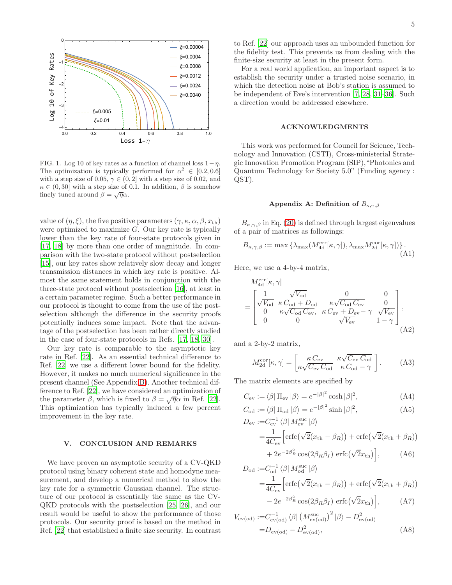

<span id="page-4-2"></span>FIG. 1. Log 10 of key rates as a function of channel loss  $1-\eta$ . The optimization is typically performed for  $\alpha^2 \in [0.2, 0.6]$ with a step size of 0.05,  $\gamma \in (0, 2]$  with a step size of 0.02, and  $\kappa \in (0, 30]$  with a step size of 0.1. In addition,  $\beta$  is somehow finely tuned around  $\hat{\beta} = \sqrt{\eta} \alpha$ .

value of  $(\eta, \xi)$ , the five positive parameters  $(\gamma, \kappa, \alpha, \beta, x_{\text{th}})$ were optimized to maximize  $G$ . Our key rate is typically lower than the key rate of four-state protocols given in [\[17,](#page-6-9) [18](#page-6-10)] by more than one order of magnitude. In comparison with the two-state protocol without postselection [\[15\]](#page-5-6), our key rates show relatively slow decay and longer transmission distances in which key rate is positive. Almost the same statement holds in conjunction with the three-state protocol without postselection [\[16\]](#page-6-11), at least in a certain parameter regime. Such a better performance in our protocol is thought to come from the use of the postselection although the difference in the security proofs potentially induces some impact. Note that the advantage of the postselection has been rather directly studied in the case of four-state protocols in Refs. [\[17,](#page-6-9) [18,](#page-6-10) [30\]](#page-6-12).

Our key rate is comparable to the asymptotic key rate in Ref. [\[22](#page-6-1)]. As an essential technical difference to Ref. [\[22](#page-6-1)] we use a different lower bound for the fidelity. However, it makes no much numerical significance in the present channel (See Appendix [B\)](#page-5-7). Another technical difference to Ref. [\[22](#page-6-1)], we have considered an optimization of the parameter  $\beta$ , which is fixed to  $\beta = \sqrt{\eta} \alpha$  in Ref. [\[22\]](#page-6-1). This optimization has typically induced a few percent improvement in the key rate.

# <span id="page-4-0"></span>V. CONCLUSION AND REMARKS

We have proven an asymptotic security of a CV-QKD protocol using binary coherent state and homodyne measurement, and develop a numerical method to show the key rate for a symmetric Gaussian channel. The structure of our protocol is essentially the same as the CV-QKD protocols with the postselection [\[25](#page-6-4), [26\]](#page-6-5), and our result would be useful to show the performance of those protocols. Our security proof is based on the method in Ref. [\[22\]](#page-6-1) that established a finite size security. In contrast

to Ref. [\[22\]](#page-6-1) our approach uses an unbounded function for the fidelity test. This prevents us from dealing with the finite-size security at least in the present form.

For a real world application, an important aspect is to establish the security under a trusted noise scenario, in which the detection noise at Bob's station is assumed to be independent of Eve's intervention [\[7](#page-5-4), [28,](#page-6-7) [31](#page-6-13)[–36\]](#page-6-14). Such a direction would be addressed elsewhere.

# ACKNOWLEDGMENTS

This work was performed for Council for Science, Technology and Innovation (CSTI), Cross-ministerial Strategic Innovation Promotion Program (SIP),"Photonics and Quantum Technology for Society 5.0" (Funding agency : QST).

# <span id="page-4-1"></span>Appendix A: Definition of  $B_{\kappa,\gamma,\beta}$

 $B_{\kappa,\gamma,\beta}$  in Eq. [\(20\)](#page-2-1) is defined through largest eigenvalues of a pair of matrices as followings:

$$
B_{\kappa,\gamma,\beta} := \max \left\{ \lambda_{\max} (M_{\rm 4d}^{\rm err}[\kappa,\gamma]), \lambda_{\max} M_{\rm 2d}^{\rm cor}[\kappa,\gamma] \right\}.
$$
\n(A1)

Here, we use a 4-by-4 matrix,

$$
M_{\rm 4d}^{\rm err}[\kappa, \gamma] = \begin{bmatrix} \frac{1}{\sqrt{V_{\rm od}}} & \sqrt{V_{\rm od}} & 0 & 0\\ \sqrt{V_{\rm od}} & \kappa C_{\rm od} + D_{\rm od} & \kappa \sqrt{C_{\rm od}} C_{\rm ev} & 0\\ 0 & \kappa \sqrt{C_{\rm od}} C_{\rm ev}, & \kappa C_{\rm ev} + D_{\rm ev} - \gamma & \sqrt{V_{\rm ev}}\\ 0 & 0 & \sqrt{V_{\rm ev}} & 1 - \gamma \end{bmatrix},
$$
\n(A2)

and a 2-by-2 matrix,

$$
M_{\rm 2d}^{\rm cor}[\kappa, \gamma] = \begin{bmatrix} \kappa C_{\rm ev} & \kappa \sqrt{C_{\rm ev} C_{\rm od}} \\ \kappa \sqrt{C_{\rm ev} C_{\rm od}} & \kappa C_{\rm od} - \gamma \end{bmatrix} . \tag{A3}
$$

The matrix elements are specified by

$$
C_{\rm ev} := \langle \beta | \Pi_{\rm ev} | \beta \rangle = e^{-|\beta|^2} \cosh |\beta|^2, \tag{A4}
$$

$$
C_{\text{od}} := \langle \beta | \Pi_{\text{od}} | \beta \rangle = e^{-|\beta|^2} \sinh |\beta|^2, \tag{A5}
$$

$$
D_{\text{ev}} := C_{\text{ev}}^{-1} \langle \beta | M_{\text{ev}}^{\text{suc}} | \beta \rangle
$$
  
=  $\frac{1}{4C_{\text{ev}}} \left[ \text{erfc}(\sqrt{2}(x_{\text{th}} - \beta_R)) + \text{erfc}(\sqrt{2}(x_{\text{th}} + \beta_R)) + 2e^{-2\beta_R^2} \cos(2\beta_R \beta_I) \text{erfc}(\sqrt{2}x_{\text{th}}) \right],$  (A6)

$$
D_{\text{od}} := C_{\text{od}}^{-1} \langle \beta | M_{\text{od}}^{\text{suc}} | \beta \rangle
$$
  
=  $\frac{1}{4C_{\text{ev}}} \left[ \text{erfc}(\sqrt{2}(x_{\text{th}} - \beta_R)) + \text{erfc}(\sqrt{2}(x_{\text{th}} + \beta_R)) - 2e^{-2\beta_R^2} \cos(2\beta_R \beta_I) \text{erfc}(\sqrt{2}x_{\text{th}}) \right],$  (A7)

$$
V_{\text{ev}(\text{od})} := C_{\text{ev}(\text{od})}^{-1} \langle \beta | \left( M_{\text{ev}(\text{od})}^{\text{suc}} \right)^2 | \beta \rangle - D_{\text{ev}(\text{od})}^2
$$
  
=  $D_{\text{ev}(\text{od})} - D_{\text{ev}(\text{od})}^2,$  (A8)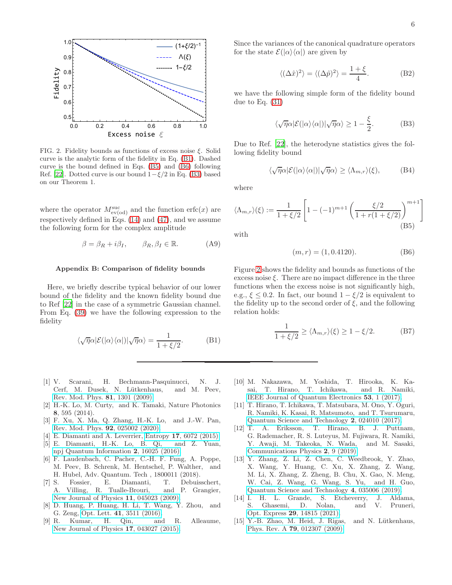

<span id="page-5-12"></span>FIG. 2. Fidelity bounds as functions of excess noise  $\xi$ . Solid curve is the analytic form of the fidelity in Eq. [\(B1\)](#page-5-8). Dashed curve is the bound defined in Eqs. [\(B5\)](#page-5-9) and [\(B6\)](#page-5-10) following Ref. [\[22](#page-6-1)]. Dotted curve is our bound  $1-\xi/2$  in Eq. [\(B3\)](#page-5-11) based on our Theorem 1.

where the operator  $M_{\text{ev}(od)}^{\text{suc}}$  and the function  $\text{erfc}(x)$  are respectively defined in Eqs. [\(14\)](#page-1-11) and [\(47\)](#page-3-8), and we assume the following form for the complex amplitude

$$
\beta = \beta_R + i\beta_I, \qquad \beta_R, \beta_I \in \mathbb{R}.\tag{A9}
$$

### <span id="page-5-7"></span>Appendix B: Comparison of fidelity bounds

Here, we briefly describe typical behavior of our lower bound of the fidelity and the known fidelity bound due to Ref [\[22\]](#page-6-1) in the case of a symmetric Gaussian channel. From Eq. [\(39\)](#page-3-6) we have the following expression to the fidelity

$$
\langle \sqrt{\eta} \alpha | \mathcal{E}(|\alpha\rangle \langle \alpha|) | \sqrt{\eta} \alpha \rangle = \frac{1}{1 + \xi/2}.
$$
 (B1)

- <span id="page-5-0"></span>[1] V. Scarani, H. Bechmann-Pasquinucci, N. J. Cerf, M. Dusek, N. Lütkenhaus, and M. Peev, [Rev. Mod. Phys.](http://dx.doi.org/10.1103/RevModPhys.81.1301) 81, 1301 (2009).
- [2] H.-K. Lo, M. Curty, and K. Tamaki, Nature Photonics 8, 595 (2014).
- <span id="page-5-1"></span>[3] F. Xu, X. Ma, Q. Zhang, H.-K. Lo, and J.-W. Pan, [Rev. Mod. Phys.](http://dx.doi.org/ 10.1103/RevModPhys.92.025002) 92, 025002 (2020).
- <span id="page-5-2"></span>[4] E. Diamanti and A. Leverrier, Entropy 17[, 6072 \(2015\).](http://dx.doi.org/10.3390/e17096072)
- [5] E. Diamanti, H.-K. Lo, B. Qi, and Z. Yuan, [npj Quantum Information](http://dx.doi.org/10.1038/npjqi.2016.25) 2, 16025 (2016).
- <span id="page-5-3"></span>[6] F. Laudenbach, C. Pacher, C.-H. F. Fung, A. Poppe, M. Peev, B. Schrenk, M. Hentschel, P. Walther, and H. Hubel, Adv. Quantum. Tech , 1800011 (2018).
- <span id="page-5-4"></span>[7] S. Fossier, E. Diamanti, T. Debuisschert, A. Villing, R. Tualle-Brouri, and P. Grangier, [New Journal of Physics](http://stacks.iop.org/1367-2630/11/i=4/a=045023) 11, 045023 (2009).
- [8] D. Huang, P. Huang, H. Li, T. Wang, Y. Zhou, and G. Zeng, Opt. Lett. 41[, 3511 \(2016\).](http://dx.doi.org/10.1364/OL.41.003511)<br>R. Kumar, H. Qin, and
- [9] R. Kumar, H. Qin, and R. Alleaume, [New Journal of Physics](http://stacks.iop.org/1367-2630/17/i=4/a=043027) 17, 043027 (2015).

Since the variances of the canonical quadrature operators for the state  $\mathcal{E}(|\alpha\rangle\langle\alpha|)$  are given by

$$
\langle (\Delta \hat{x})^2 \rangle = \langle (\Delta \hat{p})^2 \rangle = \frac{1 + \xi}{4}.
$$
 (B2)

we have the following simple form of the fidelity bound due to Eq. [\(31\)](#page-3-4)

<span id="page-5-11"></span>
$$
\langle \sqrt{\eta} \alpha | \mathcal{E}(|\alpha\rangle \langle \alpha|) | \sqrt{\eta} \alpha \rangle \ge 1 - \frac{\xi}{2}.
$$
 (B3)

Due to Ref. [\[22\]](#page-6-1), the heterodyne statistics gives the following fidelity bound

$$
\langle \sqrt{\eta} \alpha | \mathcal{E}(|\alpha\rangle \langle \alpha|) | \sqrt{\eta} \alpha \rangle \ge \langle \Lambda_{m,r} \rangle (\xi), \tag{B4}
$$

where

$$
\langle \Lambda_{m,r} \rangle(\xi) := \frac{1}{1 + \xi/2} \left[ 1 - (-1)^{m+1} \left( \frac{\xi/2}{1 + r(1 + \xi/2)} \right)^{m+1} \right]
$$
\n(B5)

with

<span id="page-5-10"></span><span id="page-5-9"></span>
$$
(m, r) = (1, 0.4120). \tag{B6}
$$

Figure [2](#page-5-12) shows the fidelity and bounds as functions of the excess noise  $\xi$ . There are no impact difference in the three functions when the excess noise is not significantly high, e.g.,  $\xi \leq 0.2$ . In fact, our bound  $1 - \xi/2$  is equivalent to the fidelity up to the second order of  $\xi$ , and the following relation holds:

$$
\frac{1}{1+\xi/2} \ge \langle \Lambda_{m,r} \rangle (\xi) \ge 1 - \xi/2. \tag{B7}
$$

- <span id="page-5-8"></span>[10] M. Nakazawa, M. Yoshida, T. Hirooka, K. Kasai, T. Hirano, T. Ichikawa, and R. Namiki, [IEEE Journal of Quantum Electronics](http://dx.doi.org/10.1109/JQE.2017.2708523) 53, 1 (2017).
- [11] T. Hirano, T. Ichikawa, T. Matsubara, M. Ono, Y. Oguri, R. Namiki, K. Kasai, R. Matsumoto, and T. Tsurumaru, [Quantum Science and Technology](http://stacks.iop.org/2058-9565/2/i=2/a=024010) 2, 024010 (2017).
- [12] T. A. Eriksson, T. Hirano, B. J. Puttnam, G. Rademacher, R. S. Luteyus, M. Fujiwara, R. Namiki, Y. Awaji, M. Takeoka, N. Wada, and M. Sasaki, [Communications Physics](http://dx.doi.org/10.1038/s42005-018-0105-5) 2, 9 (2019).
- [13] Y. Zhang, Z. Li, Z. Chen, C. Weedbrook, Y. Zhao, X. Wang, Y. Huang, C. Xu, X. Zhang, Z. Wang, M. Li, X. Zhang, Z. Zheng, B. Chu, X. Gao, N. Meng, W. Cai, Z. Wang, G. Wang, S. Yu, and H. Guo, [Quantum Science and Technology](http://dx.doi.org/ 10.1088/2058-9565/ab19d1) 4, 035006 (2019).
- <span id="page-5-5"></span>[14] I. H. L. Grande, S. Etcheverry, J. Aldama, S. Ghasemi, D. Nolan, and V. Pruneri, Opt. Express 29[, 14815 \(2021\).](http://dx.doi.org/ 10.1364/OE.425382)
- <span id="page-5-6"></span>[15] Y.-B. Zhao, M. Heid, J. Rigas, and N. Lütkenhaus, Phys. Rev. A 79[, 012307 \(2009\).](http://dx.doi.org/ 10.1103/PhysRevA.79.012307)